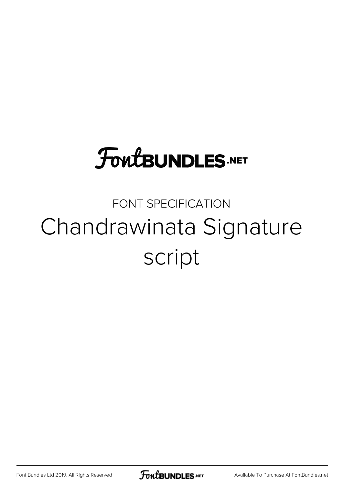## **FoutBUNDLES.NET**

## FONT SPECIFICATION Chandrawinata Signature script

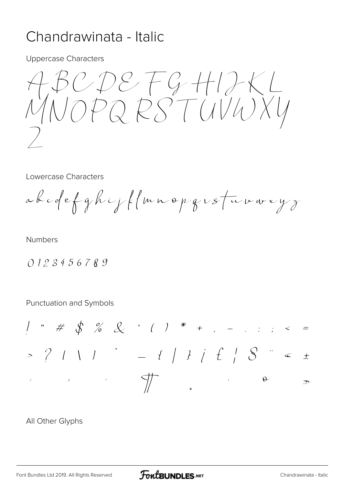### Chandrawinata - Italic

**Uppercase Characters** 

LBCDE FG HDKL<br>INOPQRSTUVWXY

Lowercase Characters

abcdefghijf(mnopgrstuwwyz

**Numbers** 

 $0123456789$ 

**Punctuation and Symbols** 

 $1$  " # \$ % & ' ( ) \* + , - , ; ; < =  $\overline{a}$  $\mathcal{D}$ 

All Other Glyphs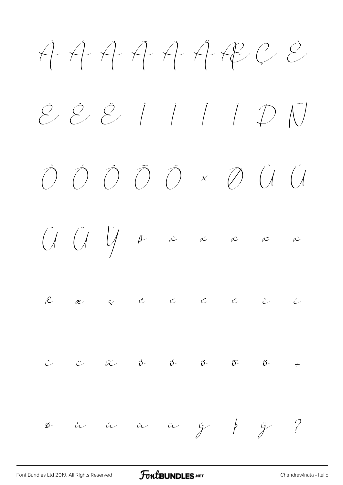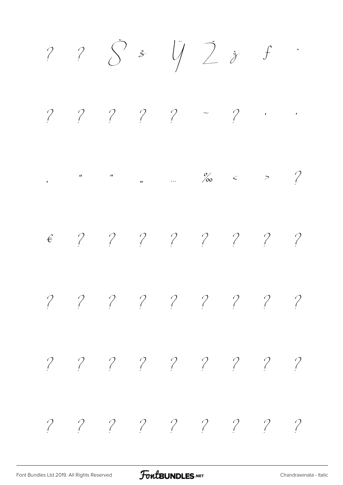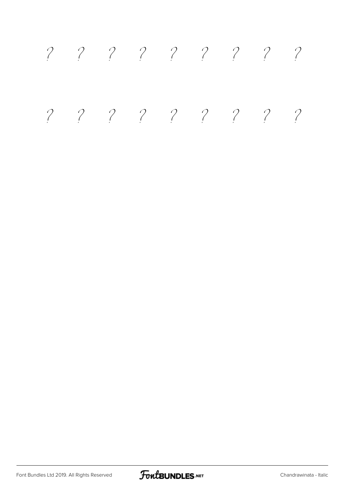# *? ? ? ? ? ? ? ? ? ? ? ? ? ? ? ? ? ?*

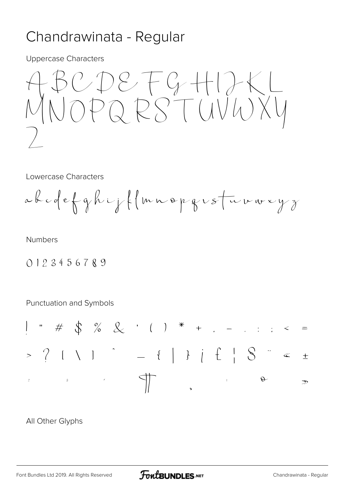### Chandrawinata - Regular

**Uppercase Characters** 

$$
\begin{array}{c} ABCDEFGHDAKL\\ NDOPQRSTUVWXY\\ 2\end{array}
$$

Lowercase Characters

**Numbers** 

0123456789

Punctuation and Symbols



#### All Other Glyphs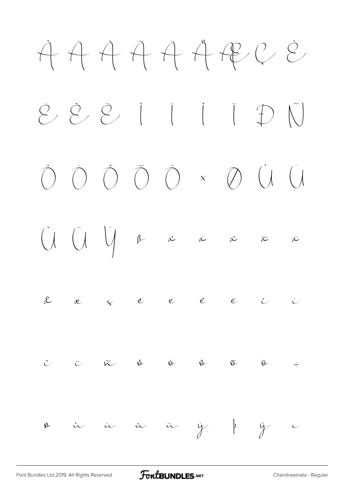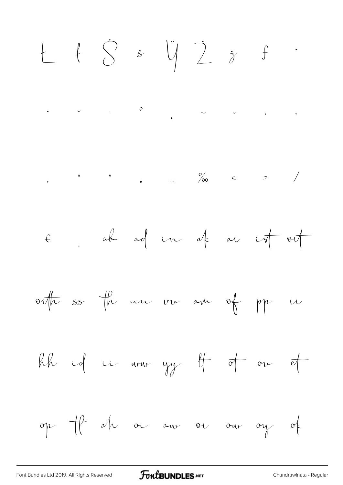## 

 $\frac{1}{2}$ ,  $\frac{1}{2}$ ,  $\frac{1}{2}$ ,  $\frac{1}{2}$ ,  $\frac{1}{2}$ ,  $\frac{1}{2}$ ,  $\frac{1}{2}$ ,  $\frac{1}{2}$ ,  $\frac{1}{2}$ ,  $\frac{1}{2}$ ,  $\frac{1}{2}$ ,  $\frac{1}{2}$ ,  $\frac{1}{2}$ ,  $\frac{1}{2}$ ,  $\frac{1}{2}$ ,  $\frac{1}{2}$ ,  $\frac{1}{2}$ ,  $\frac{1}{2}$ ,  $\frac{1}{2}$ ,  $\frac{1}{2}$ ,



$$
or\#s \text{ss} \#s \text{us} \text{us} \text{us} \text{us} \text{as} \text{sp} \text{us} \text{us} \text{us}
$$